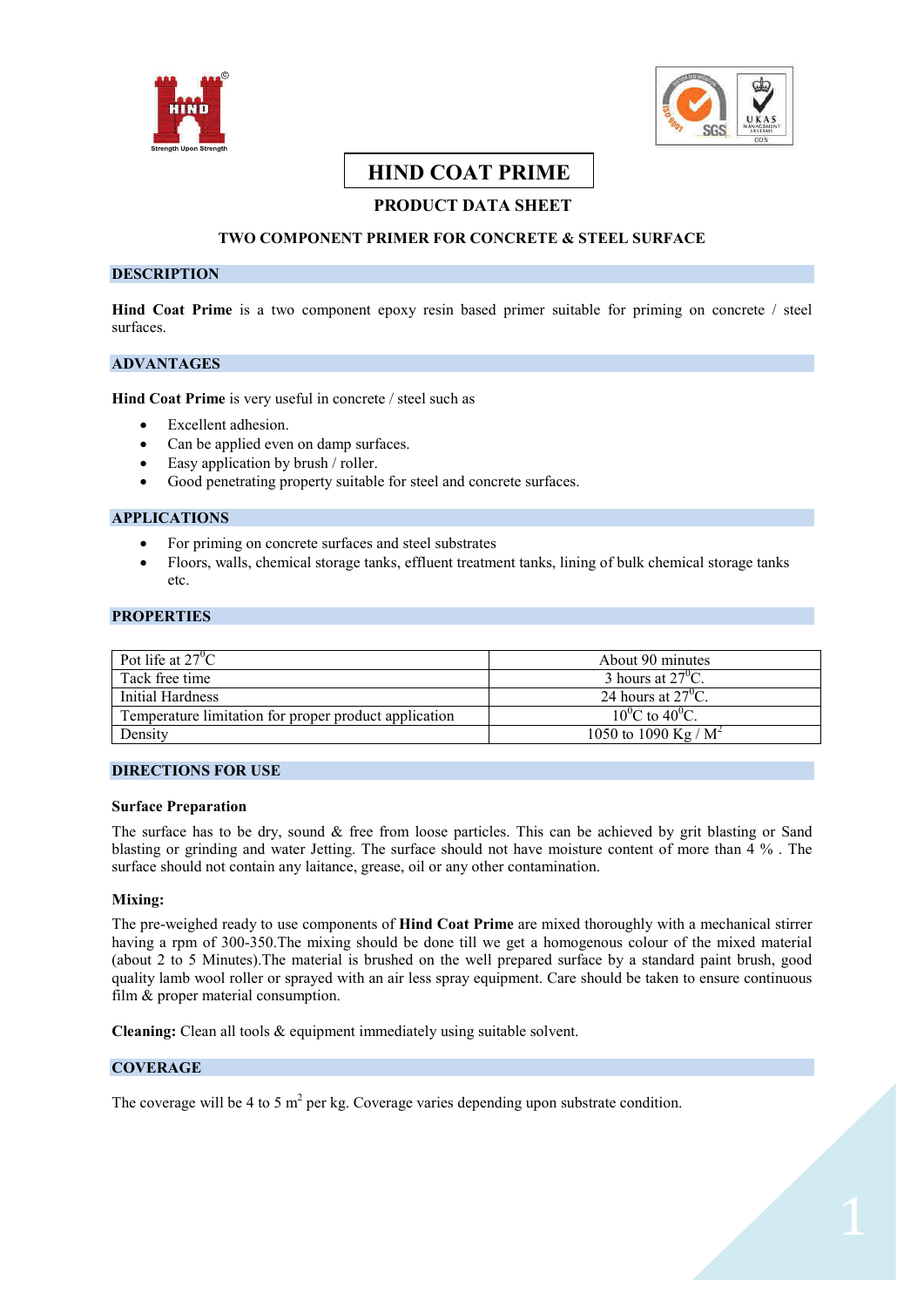



# **HIND COAT PRIME**

## **PRODUCT DATA SHEET**

## **TWO COMPONENT PRIMER FOR CONCRETE & STEEL SURFACE**

#### **DESCRIPTION**

**Hind Coat Prime** is a two component epoxy resin based primer suitable for priming on concrete / steel surfaces.

## **ADVANTAGES**

**Hind Coat Prime** is very useful in concrete / steel such as

- · Excellent adhesion.
- Can be applied even on damp surfaces.
- Easy application by brush / roller.
- Good penetrating property suitable for steel and concrete surfaces.

## **APPLICATIONS**

- For priming on concrete surfaces and steel substrates
- · Floors, walls, chemical storage tanks, effluent treatment tanks, lining of bulk chemical storage tanks etc.

## **PROPERTIES**

| Pot life at $27^{\circ}$ C                            | About 90 minutes                 |
|-------------------------------------------------------|----------------------------------|
| Tack free time                                        | 3 hours at $27^{\circ}$ C.       |
| Initial Hardness                                      | 24 hours at $27^{\circ}$ C.      |
| Temperature limitation for proper product application | $10^{0}$ C to 40 <sup>0</sup> C. |
| Density                                               | 1050 to 1090 Kg / $M^2$          |

### **DIRECTIONS FOR USE**

#### **Surface Preparation**

The surface has to be dry, sound & free from loose particles. This can be achieved by grit blasting or Sand blasting or grinding and water Jetting. The surface should not have moisture content of more than 4 % . The surface should not contain any laitance, grease, oil or any other contamination.

### **Mixing:**

The pre-weighed ready to use components of **Hind Coat Prime** are mixed thoroughly with a mechanical stirrer having a rpm of 300-350.The mixing should be done till we get a homogenous colour of the mixed material (about 2 to 5 Minutes).The material is brushed on the well prepared surface by a standard paint brush, good quality lamb wool roller or sprayed with an air less spray equipment. Care should be taken to ensure continuous film & proper material consumption.

**Cleaning:** Clean all tools & equipment immediately using suitable solvent.

### **COVERAGE**

The coverage will be 4 to 5  $m^2$  per kg. Coverage varies depending upon substrate condition.